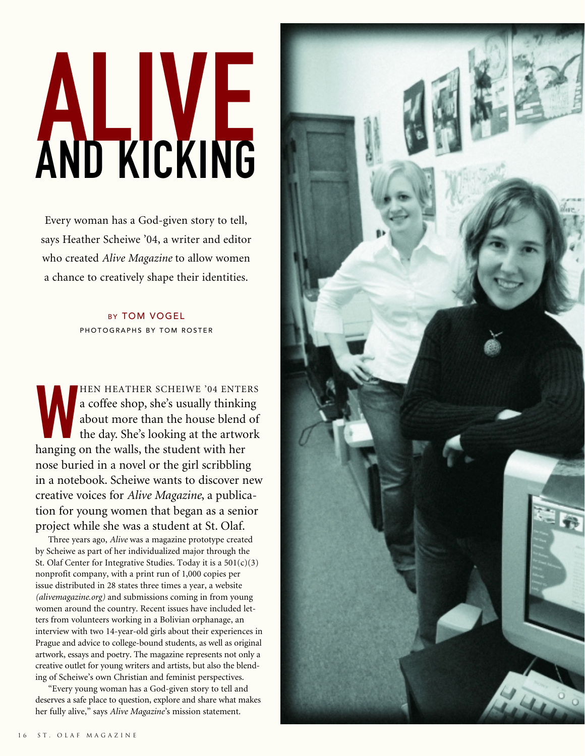## ALIVE AND KICKING

Every woman has a God-given story to tell, says Heather Scheiwe '04, a writer and editor who created *Alive Magazine* to allow women a chance to creatively shape their identities.

> BY TOM VOGEL PHOTOGRAPHS BY TOM ROSTER

HEN HEATHER SCHEIWE '04 ENTE a coffee shop, she's usually thinkis about more than the house blend the day. She's looking at the artword HEN HEATHER SCHEIWE '04 ENTERS a coffee shop, she's usually thinking about more than the house blend of the day. She's looking at the artwork nose buried in a novel or the girl scribbling in a notebook. Scheiwe wants to discover new creative voices for *Alive Magazine*, a publication for young women that began as a senior project while she was a student at St. Olaf.

Three years ago, *Alive* was a magazine prototype created by Scheiwe as part of her individualized major through the St. Olaf Center for Integrative Studies. Today it is a  $501(c)(3)$ nonprofit company, with a print run of 1,000 copies per issue distributed in 28 states three times a year, a website *(alivemagazine.org)* and submissions coming in from young women around the country. Recent issues have included letters from volunteers working in a Bolivian orphanage, an interview with two 14-year-old girls about their experiences in Prague and advice to college-bound students, as well as original artwork, essays and poetry. The magazine represents not only a creative outlet for young writers and artists, but also the blending of Scheiwe's own Christian and feminist perspectives.

"Every young woman has a God-given story to tell and deserves a safe place to question, explore and share what makes her fully alive," says *Alive Magazine*'s mission statement.

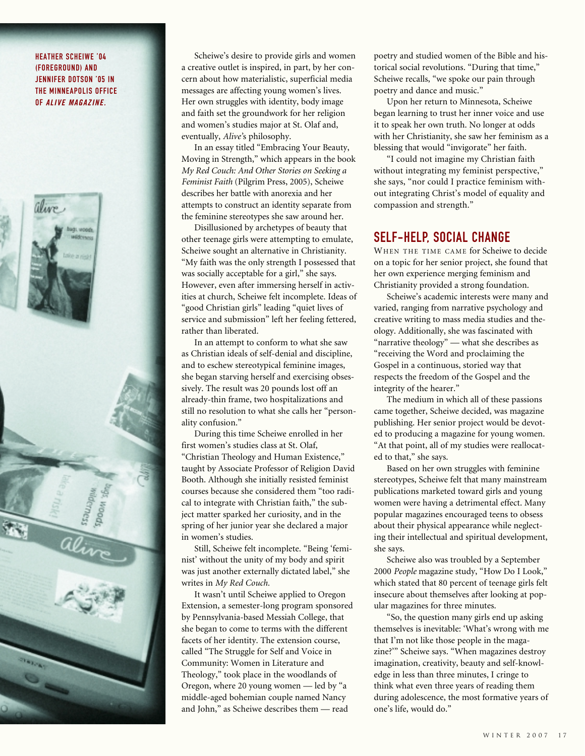## HEATHER SCHEIWE '04 (FOREGROUND) AND JENNIFER DOTSON '05 IN THE MINNEAPOLIS OFFICE OF *ALIVE MAGAZINE.*



Scheiwe's desire to provide girls and women a creative outlet is inspired, in part, by her concern about how materialistic, superficial media messages are affecting young women's lives. Her own struggles with identity, body image and faith set the groundwork for her religion and women's studies major at St. Olaf and, eventually, *Alive'*s philosophy.

In an essay titled "Embracing Your Beauty, Moving in Strength," which appears in the book *My Red Couch: And Other Stories on Seeking a Feminist Faith* (Pilgrim Press, 2005), Scheiwe describes her battle with anorexia and her attempts to construct an identity separate from the feminine stereotypes she saw around her.

Disillusioned by archetypes of beauty that other teenage girls were attempting to emulate, Scheiwe sought an alternative in Christianity. "My faith was the only strength I possessed that was socially acceptable for a girl," she says. However, even after immersing herself in activities at church, Scheiwe felt incomplete. Ideas of "good Christian girls" leading "quiet lives of service and submission" left her feeling fettered, rather than liberated.

In an attempt to conform to what she saw as Christian ideals of self-denial and discipline, and to eschew stereotypical feminine images, she began starving herself and exercising obsessively. The result was 20 pounds lost off an already-thin frame, two hospitalizations and still no resolution to what she calls her "personality confusion."

During this time Scheiwe enrolled in her first women's studies class at St. Olaf, "Christian Theology and Human Existence," taught by Associate Professor of Religion David Booth. Although she initially resisted feminist courses because she considered them "too radical to integrate with Christian faith," the subject matter sparked her curiosity, and in the spring of her junior year she declared a major in women's studies.

Still, Scheiwe felt incomplete. "Being 'feminist' without the unity of my body and spirit was just another externally dictated label," she writes in *My Red Couch.*

It wasn't until Scheiwe applied to Oregon Extension, a semester-long program sponsored by Pennsylvania-based Messiah College, that she began to come to terms with the different facets of her identity. The extension course, called "The Struggle for Self and Voice in Community: Women in Literature and Theology," took place in the woodlands of Oregon, where 20 young women — led by "a middle-aged bohemian couple named Nancy and John," as Scheiwe describes them — read

poetry and studied women of the Bible and historical social revolutions. "During that time," Scheiwe recalls, "we spoke our pain through poetry and dance and music."

Upon her return to Minnesota, Scheiwe began learning to trust her inner voice and use it to speak her own truth. No longer at odds with her Christianity, she saw her feminism as a blessing that would "invigorate" her faith.

"I could not imagine my Christian faith without integrating my feminist perspective," she says, "nor could I practice feminism without integrating Christ's model of equality and compassion and strength."

## SELF-HELP, SOCIAL CHANGE

WHEN THE TIME CAME for Scheiwe to decide on a topic for her senior project, she found that her own experience merging feminism and Christianity provided a strong foundation.

Scheiwe's academic interests were many and varied, ranging from narrative psychology and creative writing to mass media studies and theology. Additionally, she was fascinated with "narrative theology" — what she describes as "receiving the Word and proclaiming the Gospel in a continuous, storied way that respects the freedom of the Gospel and the integrity of the hearer."

The medium in which all of these passions came together, Scheiwe decided, was magazine publishing. Her senior project would be devoted to producing a magazine for young women. "At that point, all of my studies were reallocated to that," she says.

Based on her own struggles with feminine stereotypes, Scheiwe felt that many mainstream publications marketed toward girls and young women were having a detrimental effect. Many popular magazines encouraged teens to obsess about their physical appearance while neglecting their intellectual and spiritual development, she says.

Scheiwe also was troubled by a September 2000 *People* magazine study, "How Do I Look," which stated that 80 percent of teenage girls felt insecure about themselves after looking at popular magazines for three minutes.

"So, the question many girls end up asking themselves is inevitable: 'What's wrong with me that I'm not like those people in the magazine?'" Scheiwe says. "When magazines destroy imagination, creativity, beauty and self-knowledge in less than three minutes, I cringe to think what even three years of reading them during adolescence, the most formative years of one's life, would do."